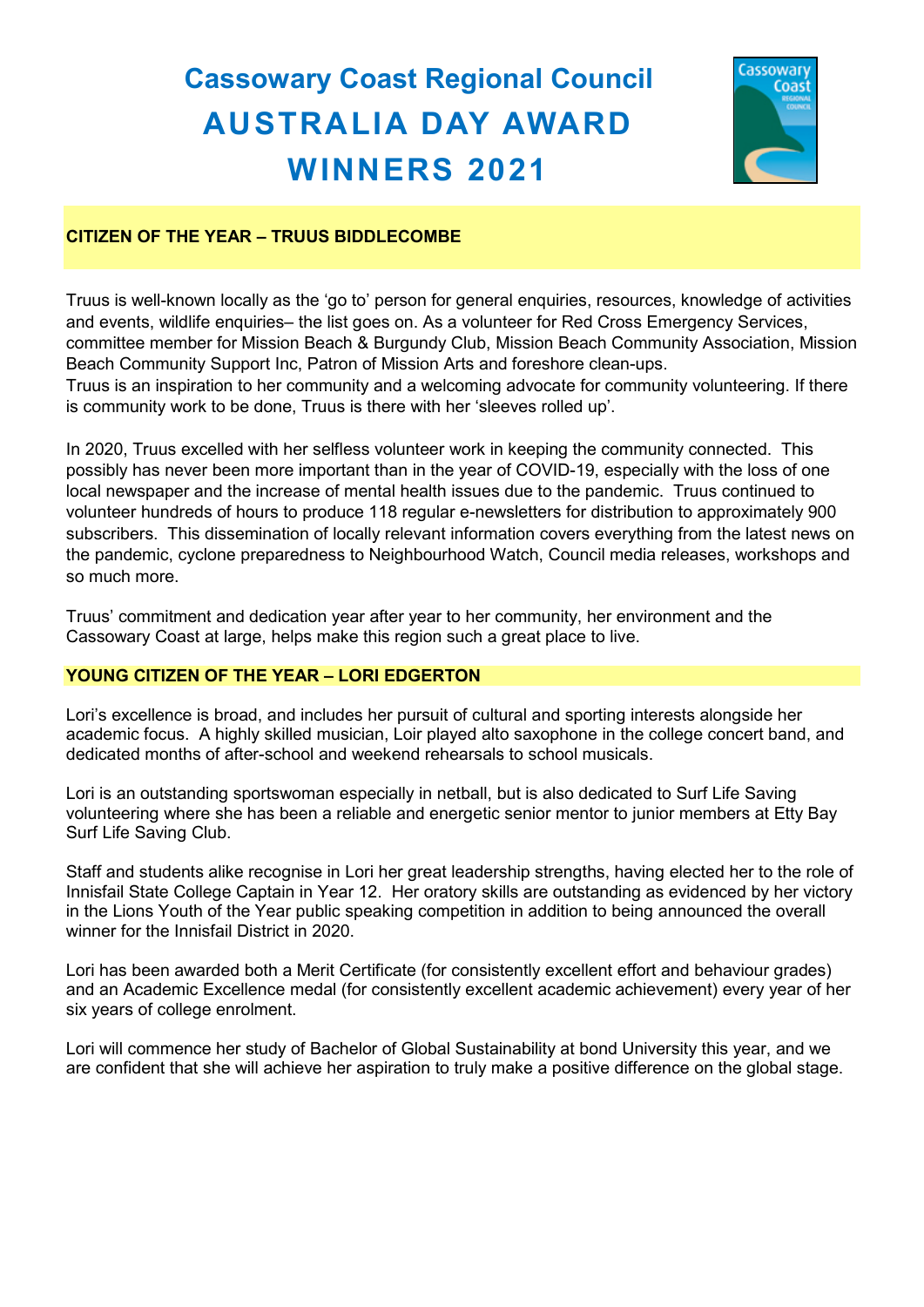# **Cassowary Coast Regional Council AUSTRALIA DAY AWARD WINNERS 2021**



# **CITIZEN OF THE YEAR – TRUUS BIDDLECOMBE**

Truus is well-known locally as the 'go to' person for general enquiries, resources, knowledge of activities and events, wildlife enquiries– the list goes on. As a volunteer for Red Cross Emergency Services, committee member for Mission Beach & Burgundy Club, Mission Beach Community Association, Mission Beach Community Support Inc, Patron of Mission Arts and foreshore clean-ups. Truus is an inspiration to her community and a welcoming advocate for community volunteering. If there is community work to be done, Truus is there with her 'sleeves rolled up'.

In 2020, Truus excelled with her selfless volunteer work in keeping the community connected. This possibly has never been more important than in the year of COVID-19, especially with the loss of one local newspaper and the increase of mental health issues due to the pandemic. Truus continued to volunteer hundreds of hours to produce 118 regular e-newsletters for distribution to approximately 900 subscribers. This dissemination of locally relevant information covers everything from the latest news on the pandemic, cyclone preparedness to Neighbourhood Watch, Council media releases, workshops and so much more.

Truus' commitment and dedication year after year to her community, her environment and the Cassowary Coast at large, helps make this region such a great place to live.

# **YOUNG CITIZEN OF THE YEAR – LORI EDGERTON**

Lori's excellence is broad, and includes her pursuit of cultural and sporting interests alongside her academic focus. A highly skilled musician, Loir played alto saxophone in the college concert band, and dedicated months of after-school and weekend rehearsals to school musicals.

Lori is an outstanding sportswoman especially in netball, but is also dedicated to Surf Life Saving volunteering where she has been a reliable and energetic senior mentor to junior members at Etty Bay Surf Life Saving Club.

Staff and students alike recognise in Lori her great leadership strengths, having elected her to the role of Innisfail State College Captain in Year 12. Her oratory skills are outstanding as evidenced by her victory in the Lions Youth of the Year public speaking competition in addition to being announced the overall winner for the Innisfail District in 2020.

Lori has been awarded both a Merit Certificate (for consistently excellent effort and behaviour grades) and an Academic Excellence medal (for consistently excellent academic achievement) every year of her six years of college enrolment.

Lori will commence her study of Bachelor of Global Sustainability at bond University this year, and we are confident that she will achieve her aspiration to truly make a positive difference on the global stage.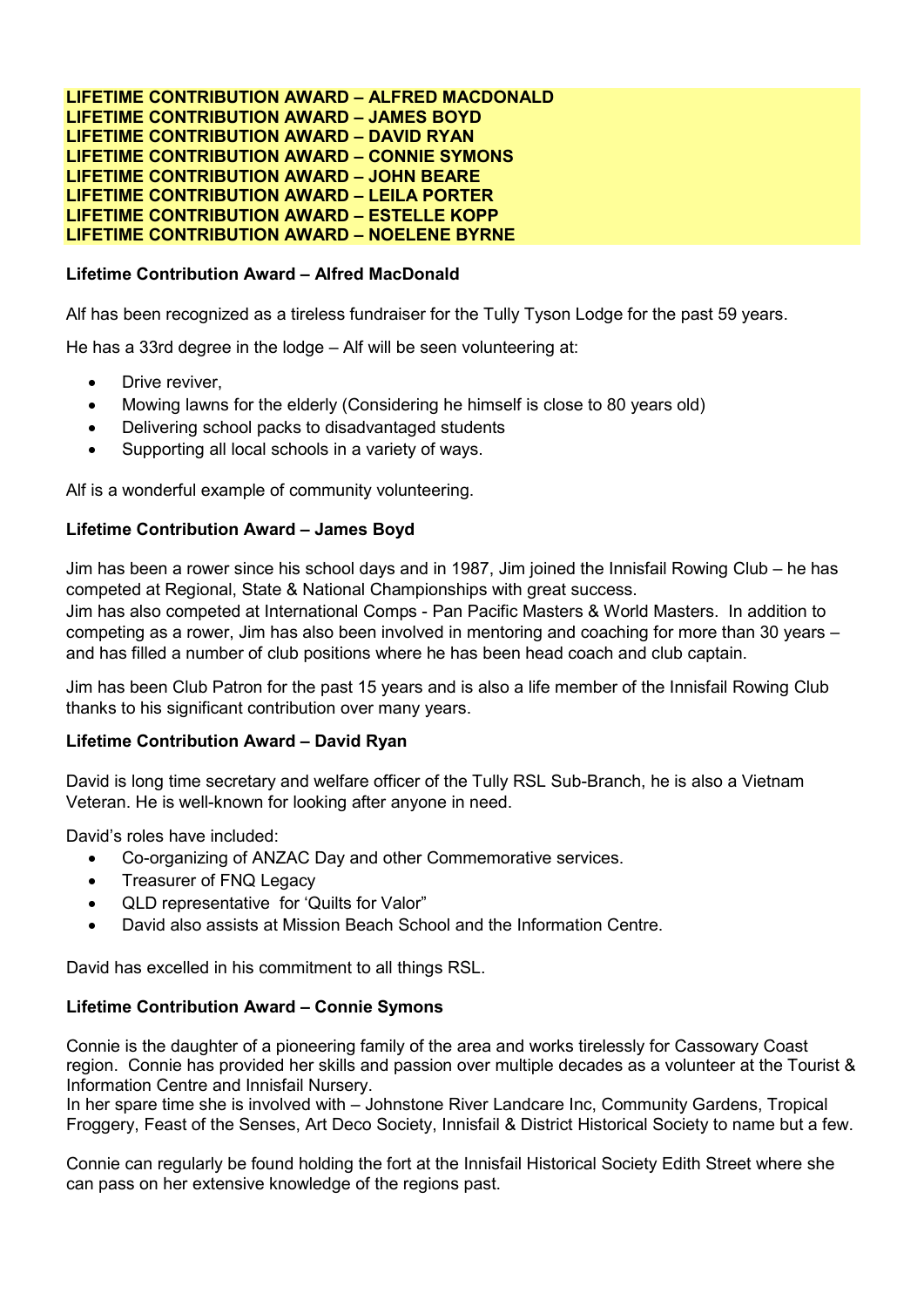**LIFETIME CONTRIBUTION AWARD – ALFRED MACDONALD LIFETIME CONTRIBUTION AWARD – JAMES BOYD LIFETIME CONTRIBUTION AWARD – DAVID RYAN LIFETIME CONTRIBUTION AWARD – CONNIE SYMONS LIFETIME CONTRIBUTION AWARD – JOHN BEARE LIFETIME CONTRIBUTION AWARD – LEILA PORTER LIFETIME CONTRIBUTION AWARD – ESTELLE KOPP LIFETIME CONTRIBUTION AWARD – NOELENE BYRNE**

# **Lifetime Contribution Award – Alfred MacDonald**

Alf has been recognized as a tireless fundraiser for the Tully Tyson Lodge for the past 59 years.

He has a 33rd degree in the lodge – Alf will be seen volunteering at:

- Drive reviver,
- Mowing lawns for the elderly (Considering he himself is close to 80 years old)
- Delivering school packs to disadvantaged students
- Supporting all local schools in a variety of ways.

Alf is a wonderful example of community volunteering.

### **Lifetime Contribution Award – James Boyd**

Jim has been a rower since his school days and in 1987, Jim joined the Innisfail Rowing Club – he has competed at Regional, State & National Championships with great success.

Jim has also competed at International Comps - Pan Pacific Masters & World Masters. In addition to competing as a rower, Jim has also been involved in mentoring and coaching for more than 30 years – and has filled a number of club positions where he has been head coach and club captain.

Jim has been Club Patron for the past 15 years and is also a life member of the Innisfail Rowing Club thanks to his significant contribution over many years.

#### **Lifetime Contribution Award – David Ryan**

David is long time secretary and welfare officer of the Tully RSL Sub-Branch, he is also a Vietnam Veteran. He is well-known for looking after anyone in need.

David's roles have included:

- Co-organizing of ANZAC Day and other Commemorative services.
- Treasurer of FNQ Legacy
- QLD representative for 'Quilts for Valor"
- David also assists at Mission Beach School and the Information Centre.

David has excelled in his commitment to all things RSL.

#### **Lifetime Contribution Award – Connie Symons**

Connie is the daughter of a pioneering family of the area and works tirelessly for Cassowary Coast region. Connie has provided her skills and passion over multiple decades as a volunteer at the Tourist & Information Centre and Innisfail Nursery.

In her spare time she is involved with – Johnstone River Landcare Inc, Community Gardens, Tropical Froggery, Feast of the Senses, Art Deco Society, Innisfail & District Historical Society to name but a few.

Connie can regularly be found holding the fort at the Innisfail Historical Society Edith Street where she can pass on her extensive knowledge of the regions past.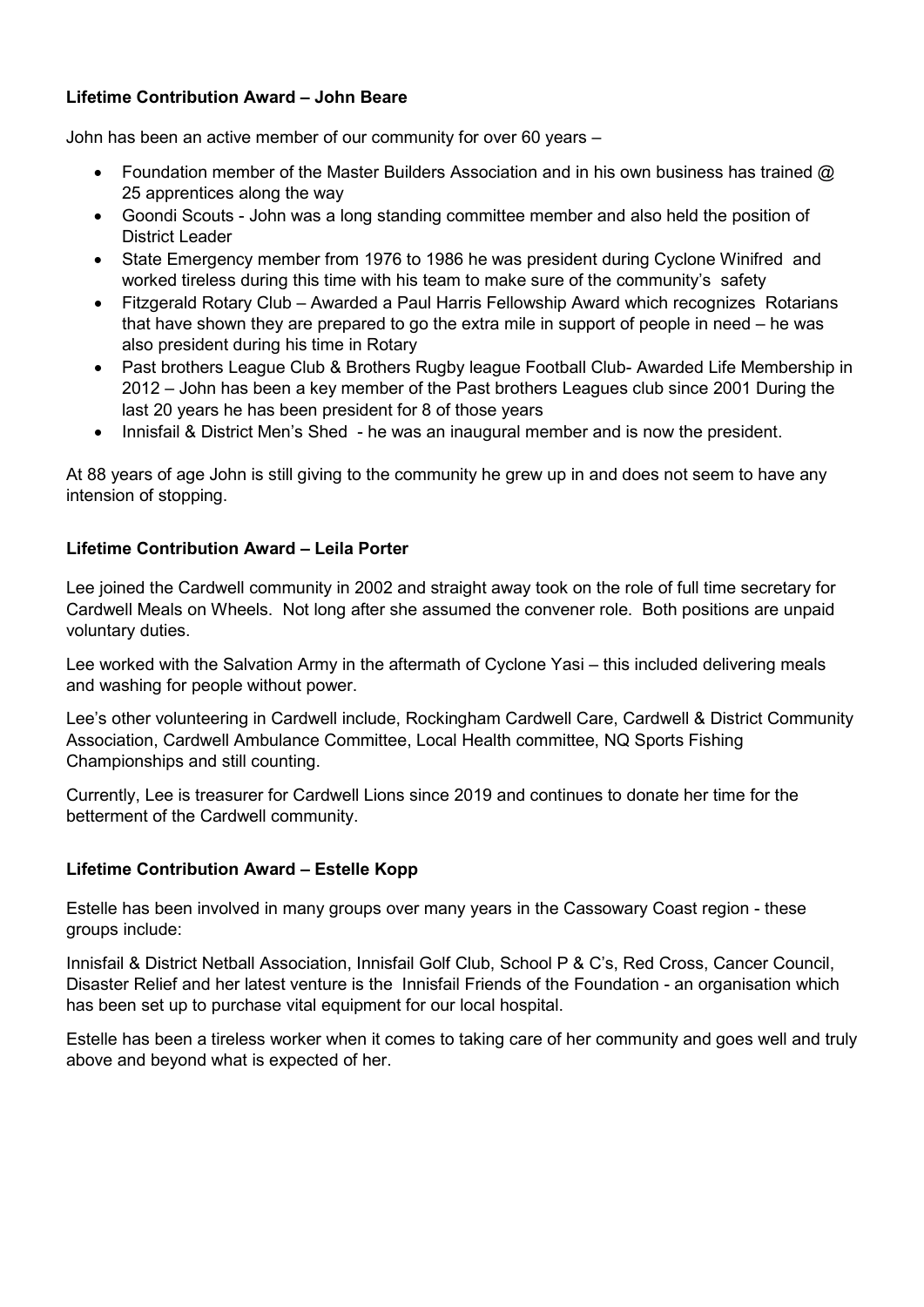# **Lifetime Contribution Award – John Beare**

John has been an active member of our community for over 60 years –

- Foundation member of the Master Builders Association and in his own business has trained @ 25 apprentices along the way
- Goondi Scouts John was a long standing committee member and also held the position of District Leader
- State Emergency member from 1976 to 1986 he was president during Cyclone Winifred and worked tireless during this time with his team to make sure of the community's safety
- Fitzgerald Rotary Club Awarded a Paul Harris Fellowship Award which recognizes Rotarians that have shown they are prepared to go the extra mile in support of people in need – he was also president during his time in Rotary
- Past brothers League Club & Brothers Rugby league Football Club- Awarded Life Membership in 2012 – John has been a key member of the Past brothers Leagues club since 2001 During the last 20 years he has been president for 8 of those years
- Innisfail & District Men's Shed he was an inaugural member and is now the president.

At 88 years of age John is still giving to the community he grew up in and does not seem to have any intension of stopping.

# **Lifetime Contribution Award – Leila Porter**

Lee joined the Cardwell community in 2002 and straight away took on the role of full time secretary for Cardwell Meals on Wheels. Not long after she assumed the convener role. Both positions are unpaid voluntary duties.

Lee worked with the Salvation Army in the aftermath of Cyclone Yasi – this included delivering meals and washing for people without power.

Lee's other volunteering in Cardwell include, Rockingham Cardwell Care, Cardwell & District Community Association, Cardwell Ambulance Committee, Local Health committee, NQ Sports Fishing Championships and still counting.

Currently, Lee is treasurer for Cardwell Lions since 2019 and continues to donate her time for the betterment of the Cardwell community.

# **Lifetime Contribution Award – Estelle Kopp**

Estelle has been involved in many groups over many years in the Cassowary Coast region - these groups include:

Innisfail & District Netball Association, Innisfail Golf Club, School P & C's, Red Cross, Cancer Council, Disaster Relief and her latest venture is the Innisfail Friends of the Foundation - an organisation which has been set up to purchase vital equipment for our local hospital.

Estelle has been a tireless worker when it comes to taking care of her community and goes well and truly above and beyond what is expected of her.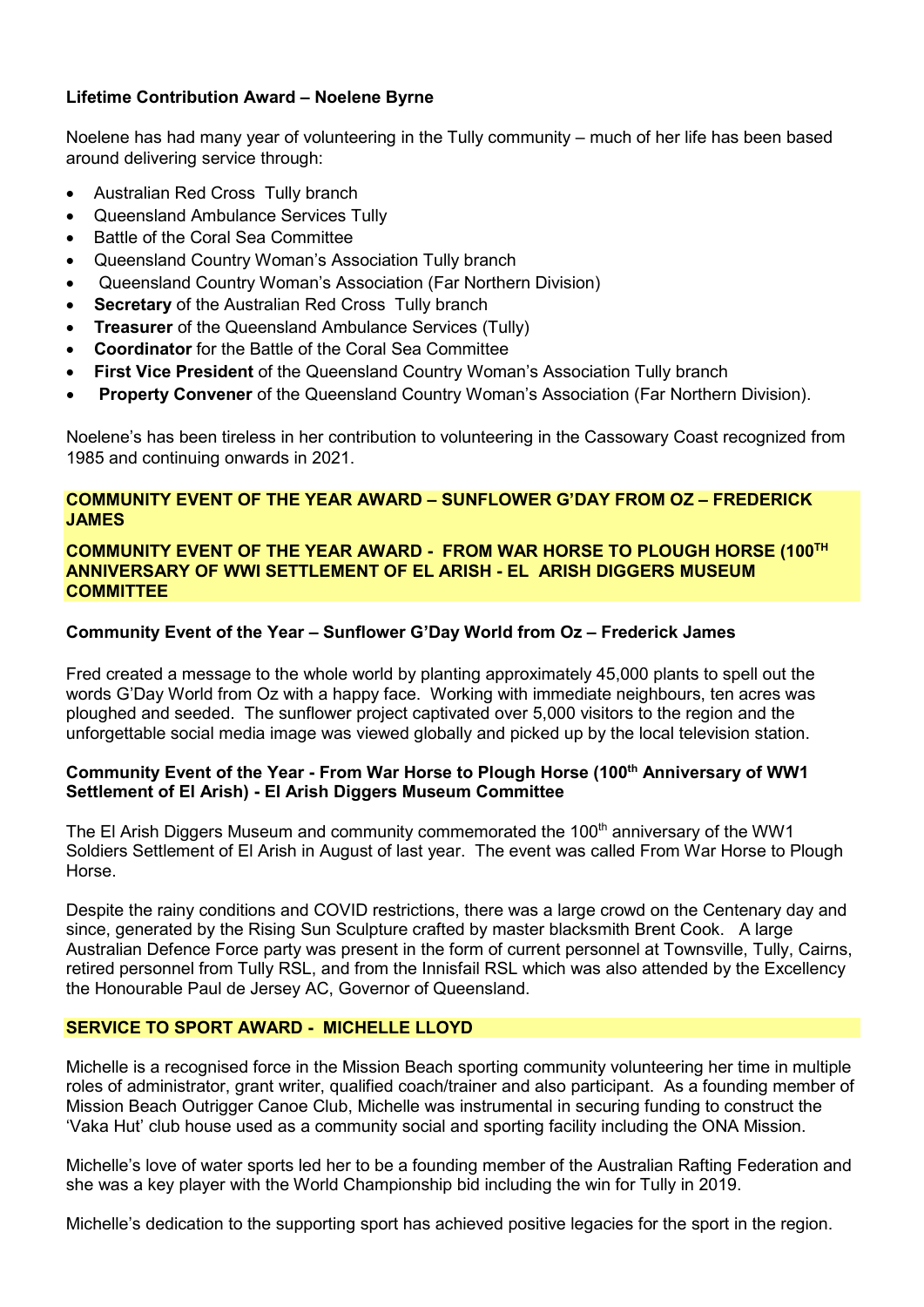# **Lifetime Contribution Award – Noelene Byrne**

Noelene has had many year of volunteering in the Tully community – much of her life has been based around delivering service through:

- Australian Red Cross Tully branch
- Queensland Ambulance Services Tully
- Battle of the Coral Sea Committee
- Queensland Country Woman's Association Tully branch
- Queensland Country Woman's Association (Far Northern Division)
- **Secretary** of the Australian Red Cross Tully branch
- **Treasurer** of the Queensland Ambulance Services (Tully)
- **Coordinator** for the Battle of the Coral Sea Committee
- **First Vice President** of the Queensland Country Woman's Association Tully branch
- **Property Convener** of the Queensland Country Woman's Association (Far Northern Division).

Noelene's has been tireless in her contribution to volunteering in the Cassowary Coast recognized from 1985 and continuing onwards in 2021.

# **COMMUNITY EVENT OF THE YEAR AWARD – SUNFLOWER G'DAY FROM OZ – FREDERICK JAMES**

### **COMMUNITY EVENT OF THE YEAR AWARD - FROM WAR HORSE TO PLOUGH HORSE (100TH ANNIVERSARY OF WWI SETTLEMENT OF EL ARISH - EL ARISH DIGGERS MUSEUM COMMITTEE**

# **Community Event of the Year – Sunflower G'Day World from Oz – Frederick James**

Fred created a message to the whole world by planting approximately 45,000 plants to spell out the words G'Day World from Oz with a happy face. Working with immediate neighbours, ten acres was ploughed and seeded. The sunflower project captivated over 5,000 visitors to the region and the unforgettable social media image was viewed globally and picked up by the local television station.

# **Community Event of the Year - From War Horse to Plough Horse (100th Anniversary of WW1 Settlement of El Arish) - El Arish Diggers Museum Committee**

The El Arish Diggers Museum and community commemorated the 100<sup>th</sup> anniversary of the WW1 Soldiers Settlement of El Arish in August of last year. The event was called From War Horse to Plough Horse.

Despite the rainy conditions and COVID restrictions, there was a large crowd on the Centenary day and since, generated by the Rising Sun Sculpture crafted by master blacksmith Brent Cook. A large Australian Defence Force party was present in the form of current personnel at Townsville, Tully, Cairns, retired personnel from Tully RSL, and from the Innisfail RSL which was also attended by the Excellency the Honourable Paul de Jersey AC, Governor of Queensland.

# **SERVICE TO SPORT AWARD - MICHELLE LLOYD**

Michelle is a recognised force in the Mission Beach sporting community volunteering her time in multiple roles of administrator, grant writer, qualified coach/trainer and also participant. As a founding member of Mission Beach Outrigger Canoe Club, Michelle was instrumental in securing funding to construct the 'Vaka Hut' club house used as a community social and sporting facility including the ONA Mission.

Michelle's love of water sports led her to be a founding member of the Australian Rafting Federation and she was a key player with the World Championship bid including the win for Tully in 2019.

Michelle's dedication to the supporting sport has achieved positive legacies for the sport in the region.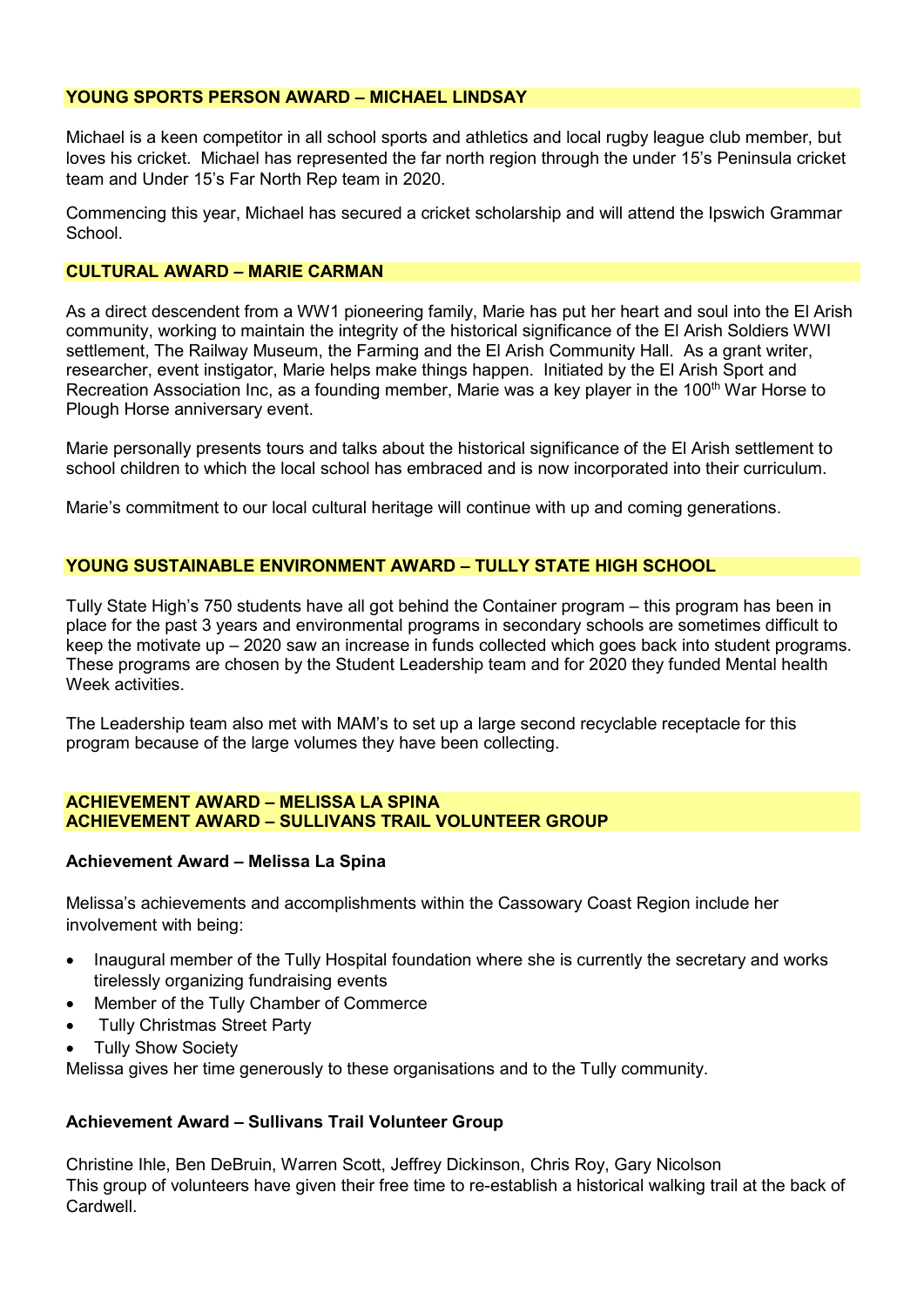# **YOUNG SPORTS PERSON AWARD – MICHAEL LINDSAY**

Michael is a keen competitor in all school sports and athletics and local rugby league club member, but loves his cricket. Michael has represented the far north region through the under 15's Peninsula cricket team and Under 15's Far North Rep team in 2020.

Commencing this year, Michael has secured a cricket scholarship and will attend the Ipswich Grammar **School** 

#### **CULTURAL AWARD – MARIE CARMAN**

As a direct descendent from a WW1 pioneering family, Marie has put her heart and soul into the El Arish community, working to maintain the integrity of the historical significance of the El Arish Soldiers WWI settlement, The Railway Museum, the Farming and the El Arish Community Hall. As a grant writer, researcher, event instigator, Marie helps make things happen. Initiated by the El Arish Sport and Recreation Association Inc, as a founding member, Marie was a key player in the 100<sup>th</sup> War Horse to Plough Horse anniversary event.

Marie personally presents tours and talks about the historical significance of the El Arish settlement to school children to which the local school has embraced and is now incorporated into their curriculum.

Marie's commitment to our local cultural heritage will continue with up and coming generations.

# **YOUNG SUSTAINABLE ENVIRONMENT AWARD – TULLY STATE HIGH SCHOOL**

Tully State High's 750 students have all got behind the Container program – this program has been in place for the past 3 years and environmental programs in secondary schools are sometimes difficult to keep the motivate up – 2020 saw an increase in funds collected which goes back into student programs. These programs are chosen by the Student Leadership team and for 2020 they funded Mental health Week activities.

The Leadership team also met with MAM's to set up a large second recyclable receptacle for this program because of the large volumes they have been collecting.

#### **ACHIEVEMENT AWARD – MELISSA LA SPINA ACHIEVEMENT AWARD – SULLIVANS TRAIL VOLUNTEER GROUP**

# **Achievement Award – Melissa La Spina**

Melissa's achievements and accomplishments within the Cassowary Coast Region include her involvement with being:

- Inaugural member of the Tully Hospital foundation where she is currently the secretary and works tirelessly organizing fundraising events
- Member of the Tully Chamber of Commerce
- **Tully Christmas Street Party**
- Tully Show Society

Melissa gives her time generously to these organisations and to the Tully community.

# **Achievement Award – Sullivans Trail Volunteer Group**

Christine Ihle, Ben DeBruin, Warren Scott, Jeffrey Dickinson, Chris Roy, Gary Nicolson This group of volunteers have given their free time to re-establish a historical walking trail at the back of **Cardwell**